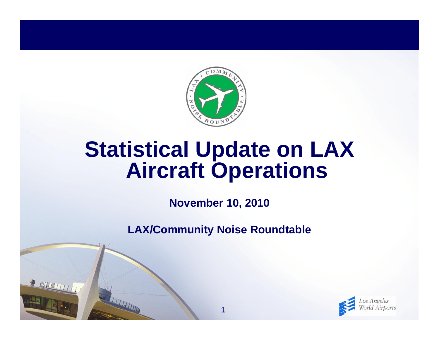

# **Statistical Update on LAX Aircraft Operations**

**November 10, 2010**

**LAX/Community Noise Roundtable**

**1**

R NUTHITI

THE THE THE THE

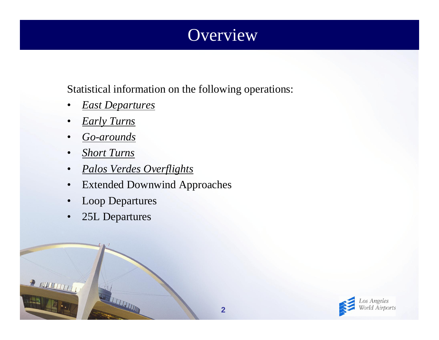## **Overview**

Statistical information on the following operations:

- •*East Departures*
- •*Early Turns*
- •*Go-arounds*
- •*Short Turns*
- •*Palos Verdes Overflights*
- $\bullet$ Extended Downwind Approaches
- $\bullet$ Loop Departures
- •25L Departures

REAL PROPERTY AND IN

 $\frac{1}{2}$  all  $\frac{1}{2}$ 

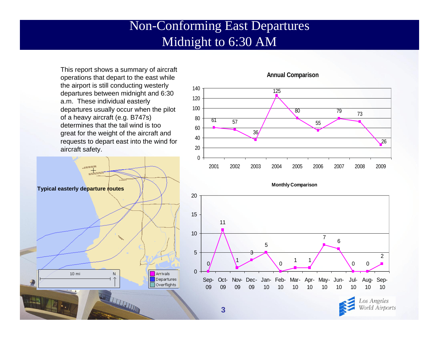#### Non-Conforming East Departures Midnight to 6:30 AM

This report shows a summary of aircraft operations that depart to the east while the airport is still conducting westerly departures between midnight and 6:30 a.m. These individual easterly departures usually occur when the pilot of a heavy aircraft (e.g. B747s) determines that the tail wind is too great for the weight of the aircraft and requests to depart east into the wind for aircraft safety.





#### **Annual Comparison**

**Monthly Comparison**



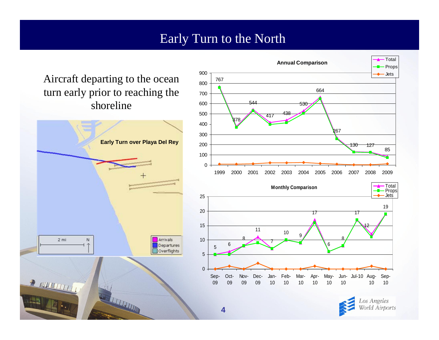#### Early Turn to the North

Aircraft departing to the ocean turn early prior to reaching the shoreline





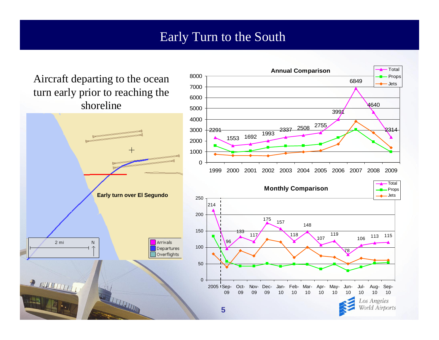#### Early Turn to the South

 **Annual Comparison**

TotalProps Jets

Aircraft departing to the ocean turn early prior to reaching the shoreline

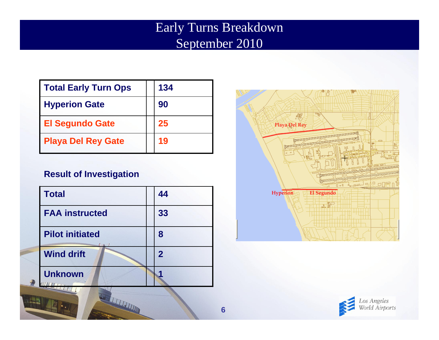### Early Turns Breakdown September 2010

| Total Early Turn Ops      | 134 |
|---------------------------|-----|
| <b>Hyperion Gate</b>      | 90  |
| <b>El Segundo Gate</b>    | 25  |
| <b>Playa Del Rey Gate</b> | 19  |

#### **Result of Investigation**

| Total                  | 44             |
|------------------------|----------------|
| <b>FAA instructed</b>  | 33             |
| <b>Pilot initiated</b> | 8              |
| <b>Wind drift</b>      | $\overline{2}$ |
| <b>Unknown</b>         |                |

WELFALL THE



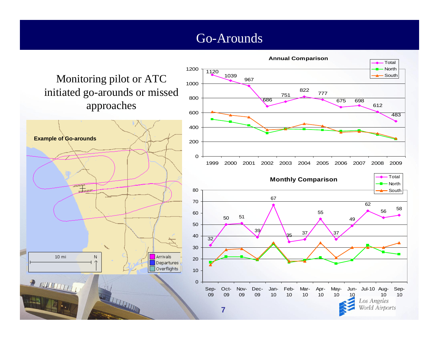#### Go-Arounds

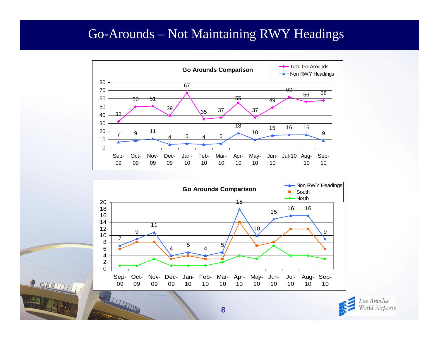#### Go-Arounds – Not Maintaining RWY Headings







**FJ**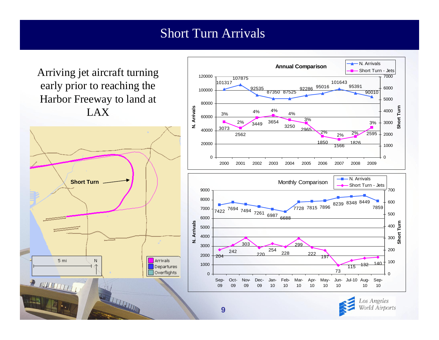#### Short Turn Arrivals

Arriving jet aircraft turning early prior to reaching the Harbor Freeway to land at LAX





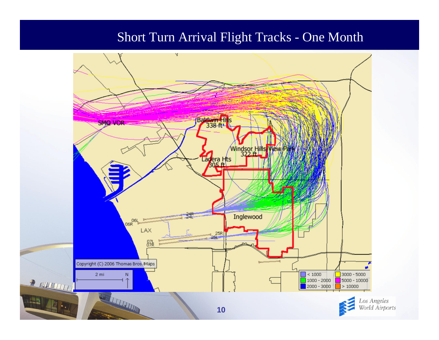#### Short Turn Arrival Flight Tracks - One Month

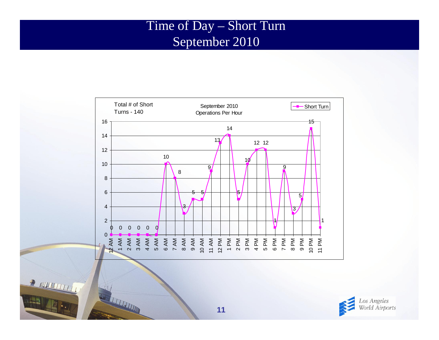#### Time of Day – Short Turn September 2010





REAL PROPERTY AND

**AHT** 

WELFALL AND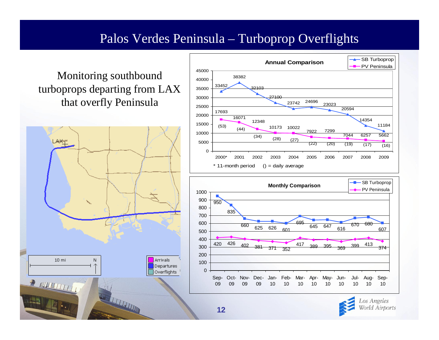#### Palos Verdes Peninsula – Turboprop Overflights

#### Monitoring southbound turboprops departing from LAX that overfly Peninsula







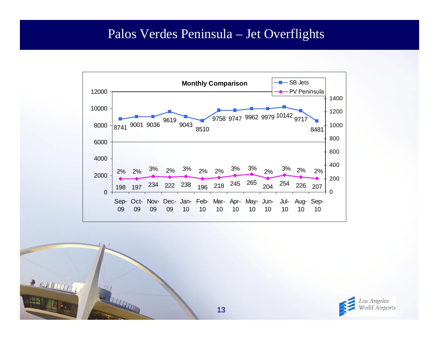#### Palos Verdes Peninsula – Jet Overflights





THE TELEVISION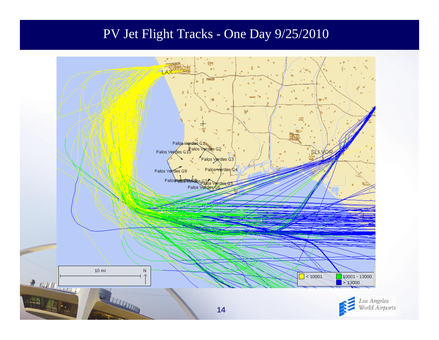#### PV Jet Flight Tracks - One Day 9/25/2010

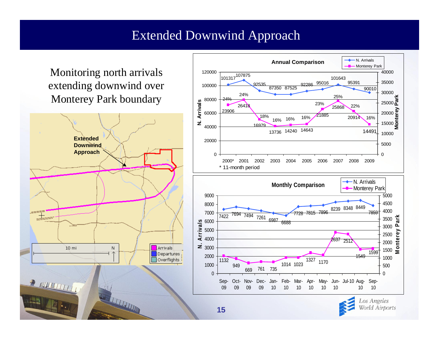#### Extended Downwind Approach

Monitoring north arrivals extending downwind over Monterey Park boundary





World Airports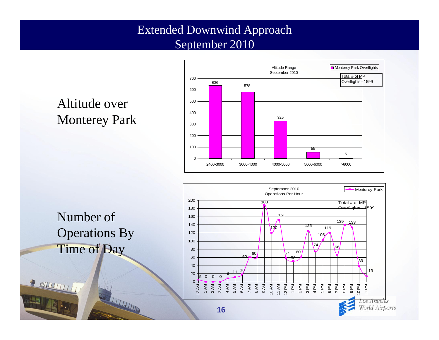#### Extended Downwind Approach September 2010







**THE REAL PROPERTY AND** 

**P NUMBER** 

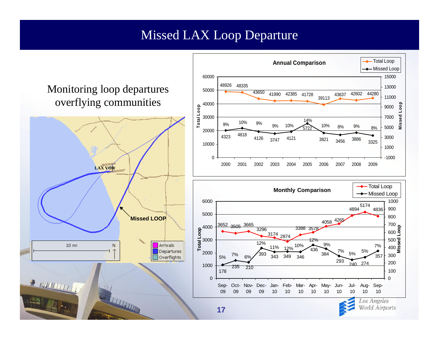#### Missed LAX Loop Departure

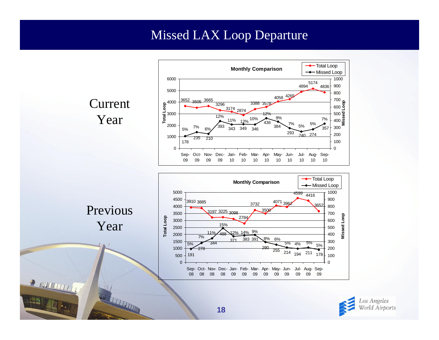#### Missed LAX Loop Departure

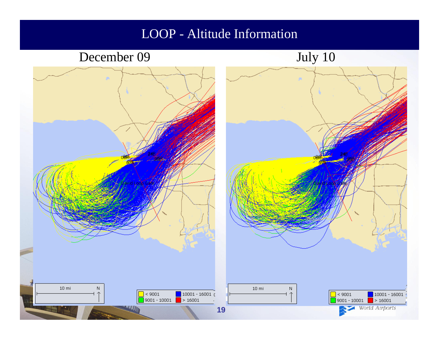#### LOOP - Altitude Information